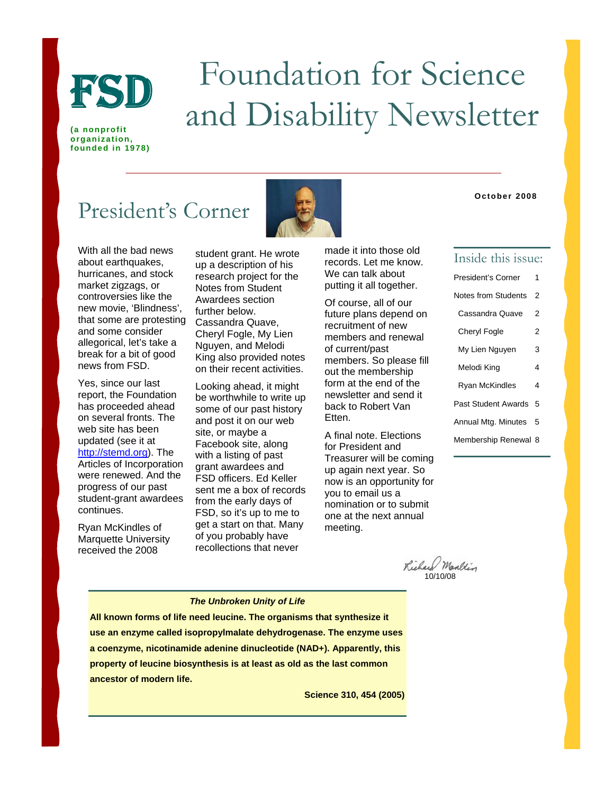

# Foundation for Science FSD 10011020011 101 SCIENCE

**(a nonprofit organization, founded in 1978)** 

# President's Corner



With all the bad news about earthquakes, hurricanes, and stock market zigzags, or controversies like the new movie, 'Blindness', that some are protesting and some consider allegorical, let's take a break for a bit of good news from FSD.

Yes, since our last report, the Foundation has proceeded ahead on several fronts. The web site has been updated (see it at [http://stemd.org](http://stemd.org/)). The Articles of Incorporation were renewed. And the progress of our past student-grant awardees continues.

Ryan McKindles of Marquette University received the 2008

student grant. He wrote up a description of his research project for the Notes from Student Awardees section further below. Cassandra Quave, Cheryl Fogle, My Lien Nguyen, and Melodi King also provided notes on their recent activities.

Looking ahead, it might be worthwhile to write up some of our past history and post it on our web site, or maybe a Facebook site, along with a listing of past grant awardees and FSD officers. Ed Keller sent me a box of records from the early days of FSD, so it's up to me to get a start on that. Many of you probably have recollections that never

made it into those old records. Let me know. We can talk about putting it all together.

Of course, all of our future plans depend on recruitment of new members and renewal of current/past members. So please fill out the membership form at the end of the newsletter and send it back to Robert Van Etten.

A final note. Elections for President and Treasurer will be coming up again next year. So now is an opportunity for you to email us a nomination or to submit one at the next annual meeting.

### Inside this issue:

**October 2008**

| <b>President's Corner</b>  | 1 |  |
|----------------------------|---|--|
| Notes from Students        | 2 |  |
| Cassandra Quave            | 2 |  |
| <b>Cheryl Fogle</b>        | 2 |  |
| My Lien Nguyen             | 3 |  |
| Melodi King                | 4 |  |
| Ryan McKindles             | 4 |  |
| <b>Past Student Awards</b> | 5 |  |
| Annual Mtg. Minutes        | 5 |  |
| Membership Renewal 8       |   |  |

Richard Marltin

### *The Unbroken Unity of Life*

**All known forms of life need leucine. The organisms that synthesize it use an enzyme called isopropylmalate dehydrogenase. The enzyme uses a coenzyme, nicotinamide adenine dinucleotide (NAD+). Apparently, this property of leucine biosynthesis is at least as old as the last common ancestor of modern life.** 

**Science 310, 454 (2005)**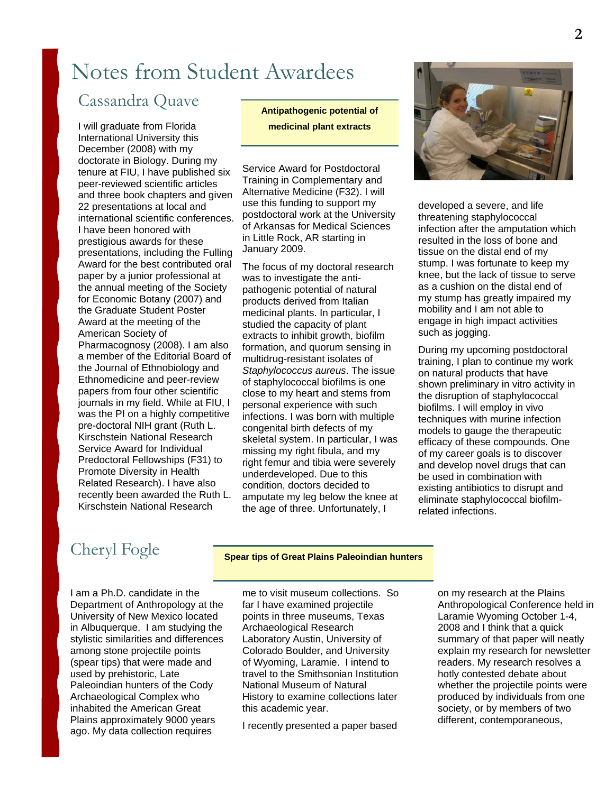# Notes from Student Awardees

# Cassandra Quave

I will graduate from Florida International University this December (2008) with my doctorate in Biology. During my tenure at FIU, I have published six peer-reviewed scientific articles and three book chapters and given 22 presentations at local and international scientific conferences. I have been honored with prestigious awards for these presentations, including the Fulling Award for the best contributed oral paper by a junior professional at the annual meeting of the Society for Economic Botany (2007) and the Graduate Student Poster Award at the meeting of the American Society of Pharmacognosy (2008). I am also a member of the Editorial Board of the Journal of Ethnobiology and Ethnomedicine and peer-review papers from four other scientific journals in my field. While at FIU, I was the PI on a highly competitive pre-doctoral NIH grant (Ruth L. Kirschstein National Research Service Award for Individual Predoctoral Fellowships (F31) to Promote Diversity in Health Related Research). I have also recently been awarded the Ruth L. Kirschstein National Research

### **Antipathogenic potential of medicinal plant extracts**

Service Award for Postdoctoral Training in Complementary and Alternative Medicine (F32). I will use this funding to support my postdoctoral work at the University of Arkansas for Medical Sciences in Little Rock, AR starting in January 2009.

The focus of my doctoral research was to investigate the antipathogenic potential of natural products derived from Italian medicinal plants. In particular, I studied the capacity of plant extracts to inhibit growth, biofilm formation, and quorum sensing in multidrug-resistant isolates of *Staphylococcus aureus*. The issue of staphylococcal biofilms is one close to my heart and stems from personal experience with such infections. I was born with multiple congenital birth defects of my skeletal system. In particular, I was missing my right fibula, and my right femur and tibia were severely underdeveloped. Due to this condition, doctors decided to amputate my leg below the knee at the age of three. Unfortunately, I



developed a severe, and life threatening staphylococcal infection after the amputation which resulted in the loss of bone and tissue on the distal end of my stump. I was fortunate to keep my knee, but the lack of tissue to serve as a cushion on the distal end of my stump has greatly impaired my mobility and I am not able to engage in high impact activities such as jogging.

During my upcoming postdoctoral training, I plan to continue my work on natural products that have shown preliminary in vitro activity in the disruption of staphylococcal biofilms. I will employ in vivo techniques with murine infection models to gauge the therapeutic efficacy of these compounds. One of my career goals is to discover and develop novel drugs that can be used in combination with existing antibiotics to disrupt and eliminate staphylococcal biofilmrelated infections.

# Cheryl Fogle **Spear tips of Great Plains Paleoindian hunters**

I am a Ph.D. candidate in the Department of Anthropology at the University of New Mexico located in Albuquerque. I am studying the stylistic similarities and differences among stone projectile points (spear tips) that were made and used by prehistoric, Late Paleoindian hunters of the Cody Archaeological Complex who inhabited the American Great Plains approximately 9000 years ago. My data collection requires

me to visit museum collections. So far I have examined projectile points in three museums, Texas Archaeological Research Laboratory Austin, University of Colorado Boulder, and University of Wyoming, Laramie. I intend to travel to the Smithsonian Institution National Museum of Natural History to examine collections later this academic year.

I recently presented a paper based

on my research at the Plains Anthropological Conference held in Laramie Wyoming October 1-4, 2008 and I think that a quick summary of that paper will neatly explain my research for newsletter readers. My research resolves a hotly contested debate about whether the projectile points were produced by individuals from one society, or by members of two different, contemporaneous,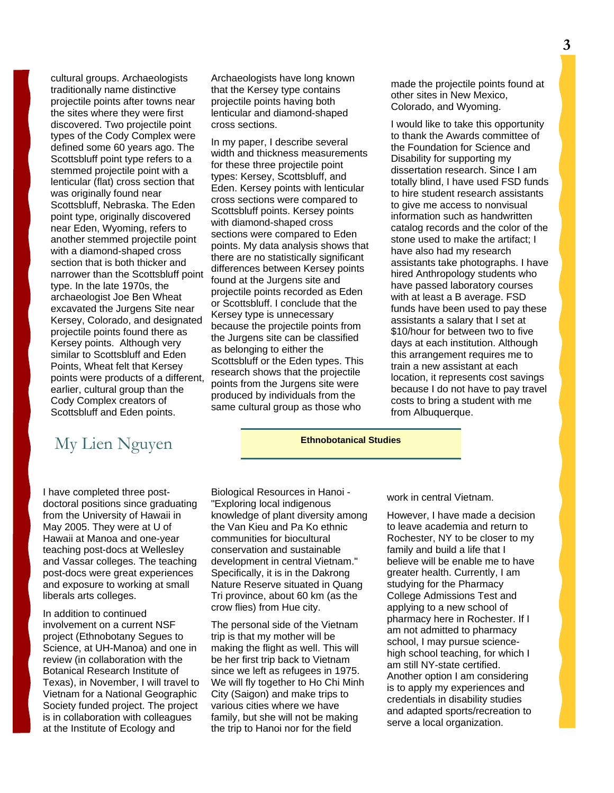cultural groups. Archaeologists traditionally name distinctive projectile points after towns near the sites where they were first discovered. Two projectile point types of the Cody Complex were defined some 60 years ago. The Scottsbluff point type refers to a stemmed projectile point with a lenticular (flat) cross section that was originally found near Scottsbluff, Nebraska. The Eden point type, originally discovered near Eden, Wyoming, refers to another stemmed projectile point with a diamond-shaped cross section that is both thicker and narrower than the Scottsbluff point type. In the late 1970s, the archaeologist Joe Ben Wheat excavated the Jurgens Site near Kersey, Colorado, and designated projectile points found there as Kersey points. Although very similar to Scottsbluff and Eden Points, Wheat felt that Kersey points were products of a different, earlier, cultural group than the Cody Complex creators of Scottsbluff and Eden points.

# My Lien Nguyen **Ethnobotanical Studies**

I have completed three postdoctoral positions since graduating from the University of Hawaii in May 2005. They were at U of Hawaii at Manoa and one-year teaching post-docs at Wellesley and Vassar colleges. The teaching post-docs were great experiences and exposure to working at small liberals arts colleges.

In addition to continued involvement on a current NSF project (Ethnobotany Segues to Science, at UH-Manoa) and one in review (in collaboration with the Botanical Research Institute of Texas), in November, I will travel to Vietnam for a National Geographic Society funded project. The project is in collaboration with colleagues at the Institute of Ecology and

Archaeologists have long known that the Kersey type contains projectile points having both lenticular and diamond-shaped cross sections.

In my paper, I describe several width and thickness measurements for these three projectile point types: Kersey, Scottsbluff, and Eden. Kersey points with lenticular cross sections were compared to Scottsbluff points. Kersey points with diamond-shaped cross sections were compared to Eden points. My data analysis shows that there are no statistically significant differences between Kersey points found at the Jurgens site and projectile points recorded as Eden or Scottsbluff. I conclude that the Kersey type is unnecessary because the projectile points from the Jurgens site can be classified as belonging to either the Scottsbluff or the Eden types. This research shows that the projectile points from the Jurgens site were produced by individuals from the same cultural group as those who

made the projectile points found at other sites in New Mexico, Colorado, and Wyoming.

I would like to take this opportunity to thank the Awards committee of the Foundation for Science and Disability for supporting my dissertation research. Since I am totally blind, I have used FSD funds to hire student research assistants to give me access to nonvisual information such as handwritten catalog records and the color of the stone used to make the artifact; I have also had my research assistants take photographs. I have hired Anthropology students who have passed laboratory courses with at least a B average. FSD funds have been used to pay these assistants a salary that I set at \$10/hour for between two to five days at each institution. Although this arrangement requires me to train a new assistant at each location, it represents cost savings because I do not have to pay travel costs to bring a student with me from Albuquerque.

Biological Resources in Hanoi - "Exploring local indigenous knowledge of plant diversity among the Van Kieu and Pa Ko ethnic communities for biocultural conservation and sustainable development in central Vietnam." Specifically, it is in the Dakrong Nature Reserve situated in Quang Tri province, about 60 km (as the crow flies) from Hue city.

The personal side of the Vietnam trip is that my mother will be making the flight as well. This will be her first trip back to Vietnam since we left as refugees in 1975. We will fly together to Ho Chi Minh City (Saigon) and make trips to various cities where we have family, but she will not be making the trip to Hanoi nor for the field

work in central Vietnam.

However, I have made a decision to leave academia and return to Rochester, NY to be closer to my family and build a life that I believe will be enable me to have greater health. Currently, I am studying for the Pharmacy College Admissions Test and applying to a new school of pharmacy here in Rochester. If I am not admitted to pharmacy school, I may pursue sciencehigh school teaching, for which I am still NY-state certified. Another option I am considering is to apply my experiences and credentials in disability studies and adapted sports/recreation to serve a local organization.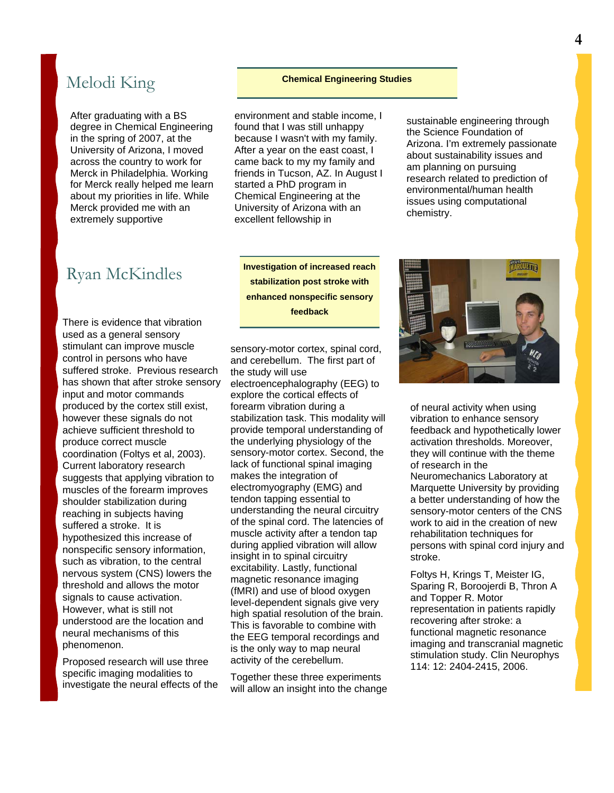# Melodi King **Chemical Engineering Studies**

After graduating with a BS degree in Chemical Engineering in the spring of 2007, at the University of Arizona, I moved across the country to work for Merck in Philadelphia. Working for Merck really helped me learn about my priorities in life. While Merck provided me with an extremely supportive

environment and stable income, I found that I was still unhappy because I wasn't with my family. After a year on the east coast, I came back to my my family and friends in Tucson, AZ. In August I started a PhD program in Chemical Engineering at the University of Arizona with an excellent fellowship in

**Investigation of increased reach stabilization post stroke with enhanced nonspecific sensory feedback** 

sustainable engineering through the Science Foundation of Arizona. I'm extremely passionate about sustainability issues and am planning on pursuing research related to prediction of environmental/human health issues using computational chemistry.

## Ryan McKindles

There is evidence that vibration used as a general sensory stimulant can improve muscle control in persons who have suffered stroke. Previous research has shown that after stroke sensory input and motor commands produced by the cortex still exist, however these signals do not achieve sufficient threshold to produce correct muscle coordination (Foltys et al, 2003). Current laboratory research suggests that applying vibration to muscles of the forearm improves shoulder stabilization during reaching in subjects having suffered a stroke. It is hypothesized this increase of nonspecific sensory information, such as vibration, to the central nervous system (CNS) lowers the threshold and allows the motor signals to cause activation. However, what is still not understood are the location and neural mechanisms of this phenomenon.

Proposed research will use three specific imaging modalities to investigate the neural effects of the

sensory-motor cortex, spinal cord, and cerebellum. The first part of the study will use electroencephalography (EEG) to explore the cortical effects of forearm vibration during a stabilization task. This modality will provide temporal understanding of the underlying physiology of the sensory-motor cortex. Second, the lack of functional spinal imaging makes the integration of electromyography (EMG) and tendon tapping essential to understanding the neural circuitry of the spinal cord. The latencies of muscle activity after a tendon tap during applied vibration will allow insight in to spinal circuitry excitability. Lastly, functional magnetic resonance imaging (fMRI) and use of blood oxygen level-dependent signals give very high spatial resolution of the brain. This is favorable to combine with the EEG temporal recordings and is the only way to map neural activity of the cerebellum.

Together these three experiments will allow an insight into the change



of neural activity when using vibration to enhance sensory feedback and hypothetically lower activation thresholds. Moreover, they will continue with the theme of research in the Neuromechanics Laboratory at Marquette University by providing a better understanding of how the sensory-motor centers of the CNS work to aid in the creation of new rehabilitation techniques for persons with spinal cord injury and stroke.

Foltys H, Krings T, Meister IG, Sparing R, Boroojerdi B, Thron A and Topper R. Motor representation in patients rapidly recovering after stroke: a functional magnetic resonance imaging and transcranial magnetic stimulation study. Clin Neurophys 114: 12: 2404-2415, 2006.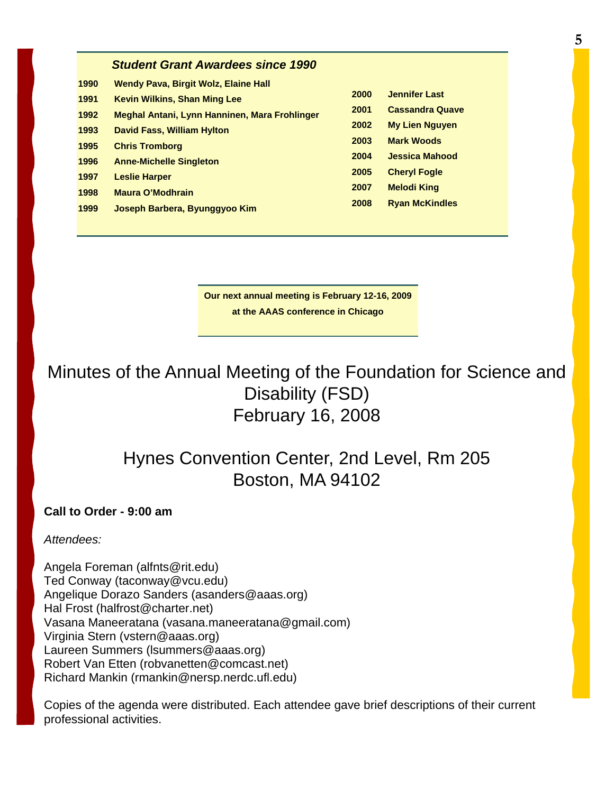| <b>Student Grant Awardees since 1990</b> |  |
|------------------------------------------|--|
|------------------------------------------|--|

| 1990 | <b>Wendy Pava, Birgit Wolz, Elaine Hall</b>   |      |                        |
|------|-----------------------------------------------|------|------------------------|
| 1991 | <b>Kevin Wilkins, Shan Ming Lee</b>           | 2000 | <b>Jennifer Last</b>   |
| 1992 | Meghal Antani, Lynn Hanninen, Mara Frohlinger | 2001 | <b>Cassandra Quave</b> |
| 1993 | <b>David Fass, William Hylton</b>             | 2002 | <b>My Lien Nguyen</b>  |
| 1995 | <b>Chris Tromborg</b>                         | 2003 | <b>Mark Woods</b>      |
|      |                                               | 2004 | <b>Jessica Mahood</b>  |
| 1996 | <b>Anne-Michelle Singleton</b>                | 2005 | <b>Cheryl Fogle</b>    |
| 1997 | <b>Leslie Harper</b>                          | 2007 | <b>Melodi King</b>     |
| 1998 | Maura O'Modhrain                              | 2008 | <b>Ryan McKindles</b>  |
| 1999 | Joseph Barbera, Byunggyoo Kim                 |      |                        |

| <b>00</b> | <b>Jennifer Last</b>   |
|-----------|------------------------|
| 10        | <b>Cassandra Quave</b> |
| )02       | My Lien Nguyen         |
| 03        | <b>Mark Woods</b>      |
| 04        | Jessica Mahood         |
| 05        | <b>Cheryl Fogle</b>    |
| 07        | <b>Melodi King</b>     |
| 08        | <b>Ryan McKindles</b>  |

**Our next annual meeting is February 12-16, 2009 at the AAAS conference in Chicago** 

Minutes of the Annual Meeting of the Foundation for Science and Disability (FSD) February 16, 2008

# Hynes Convention Center, 2nd Level, Rm 205 Boston, MA 94102

**Call to Order - 9:00 am**

*Attendees:*

Angela Foreman (alfnts@rit.edu) Ted Conway (taconway@vcu.edu) Angelique Dorazo Sanders (asanders@aaas.org) Hal Frost (halfrost@charter.net) Vasana Maneeratana (vasana.maneeratana@gmail.com) Virginia Stern (vstern@aaas.org) Laureen Summers (lsummers@aaas.org) Robert Van Etten (robvanetten@comcast.net) Richard Mankin (rmankin@nersp.nerdc.ufl.edu)

Copies of the agenda were distributed. Each attendee gave brief descriptions of their current professional activities.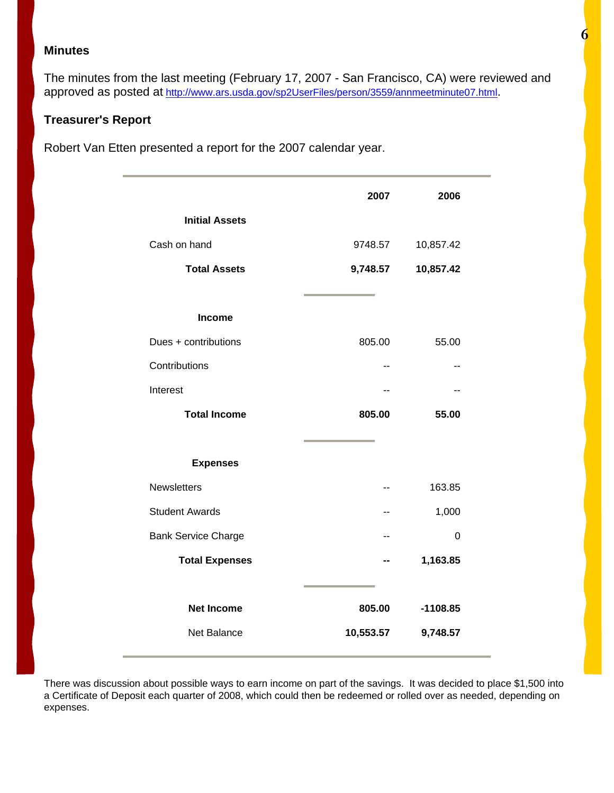### **Minutes**

The minutes from the last meeting (February 17, 2007 - San Francisco, CA) were reviewed and approved as posted at <http://www.ars.usda.gov/sp2UserFiles/person/3559/annmeetminute07.html>.

### **Treasurer's Report**

Robert Van Etten presented a report for the 2007 calendar year.

|                            | 2007      | 2006       |
|----------------------------|-----------|------------|
| <b>Initial Assets</b>      |           |            |
| Cash on hand               | 9748.57   | 10,857.42  |
| <b>Total Assets</b>        | 9,748.57  | 10,857.42  |
|                            |           |            |
| Income                     |           |            |
| Dues + contributions       | 805.00    | 55.00      |
| Contributions              | --        |            |
| Interest                   | --        | --         |
| <b>Total Income</b>        | 805.00    | 55.00      |
|                            |           |            |
| <b>Expenses</b>            |           |            |
| Newsletters                | --        | 163.85     |
| <b>Student Awards</b>      | --        | 1,000      |
| <b>Bank Service Charge</b> | --        | 0          |
| <b>Total Expenses</b>      |           | 1,163.85   |
|                            |           |            |
| <b>Net Income</b>          | 805.00    | $-1108.85$ |
| <b>Net Balance</b>         | 10,553.57 | 9,748.57   |

There was discussion about possible ways to earn income on part of the savings. It was decided to place \$1,500 into a Certificate of Deposit each quarter of 2008, which could then be redeemed or rolled over as needed, depending on expenses.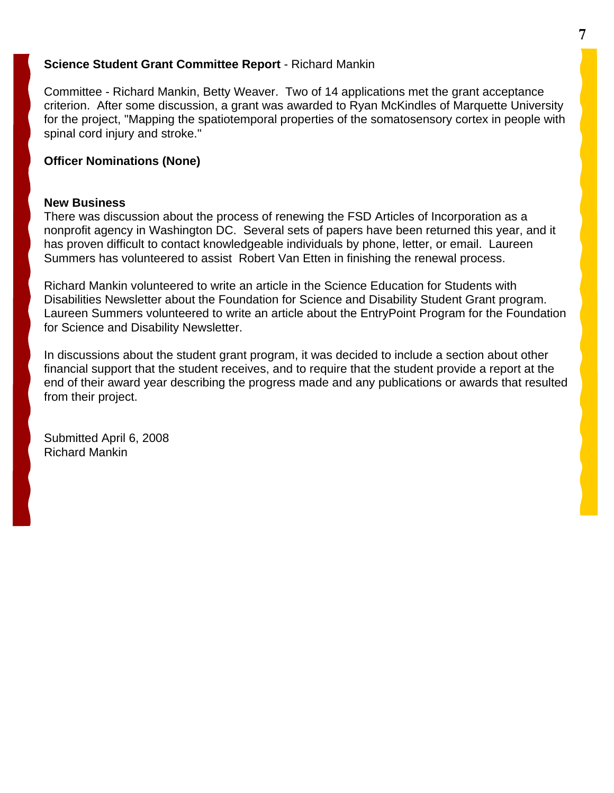### **Science Student Grant Committee Report** - Richard Mankin

Committee - Richard Mankin, Betty Weaver. Two of 14 applications met the grant acceptance criterion. After some discussion, a grant was awarded to Ryan McKindles of Marquette University for the project, "Mapping the spatiotemporal properties of the somatosensory cortex in people with spinal cord injury and stroke."

### **Officer Nominations (None)**

### **New Business**

There was discussion about the process of renewing the FSD Articles of Incorporation as a nonprofit agency in Washington DC. Several sets of papers have been returned this year, and it has proven difficult to contact knowledgeable individuals by phone, letter, or email. Laureen Summers has volunteered to assist Robert Van Etten in finishing the renewal process.

Richard Mankin volunteered to write an article in the Science Education for Students with Disabilities Newsletter about the Foundation for Science and Disability Student Grant program. Laureen Summers volunteered to write an article about the EntryPoint Program for the Foundation for Science and Disability Newsletter.

In discussions about the student grant program, it was decided to include a section about other financial support that the student receives, and to require that the student provide a report at the end of their award year describing the progress made and any publications or awards that resulted from their project.

Submitted April 6, 2008 Richard Mankin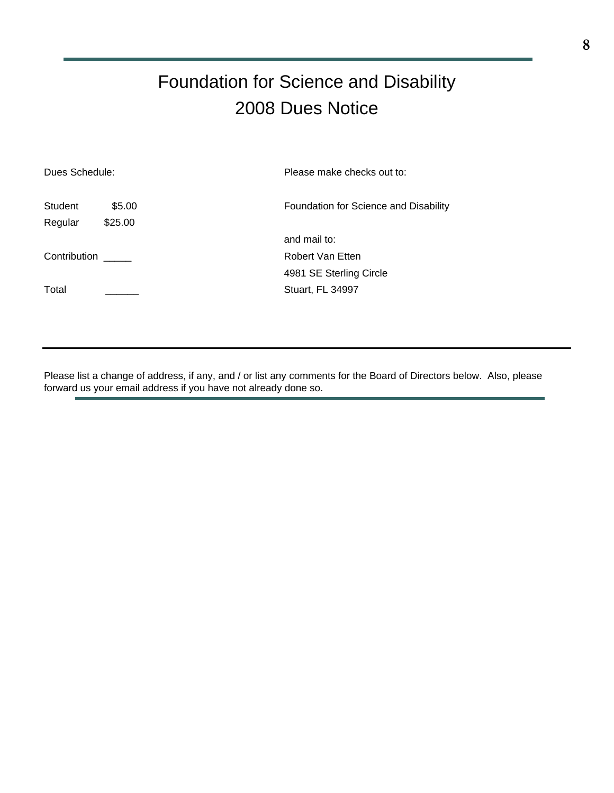# Foundation for Science and Disability 2008 Dues Notice

| Dues Schedule: |         | Please make checks out to:            |
|----------------|---------|---------------------------------------|
| <b>Student</b> | \$5.00  | Foundation for Science and Disability |
| Regular        | \$25.00 |                                       |
|                |         | and mail to:                          |
| Contribution   |         | Robert Van Etten                      |
|                |         | 4981 SE Sterling Circle               |
| Total          |         | Stuart, FL 34997                      |
|                |         |                                       |

Please list a change of address, if any, and / or list any comments for the Board of Directors below. Also, please forward us your email address if you have not already done so.